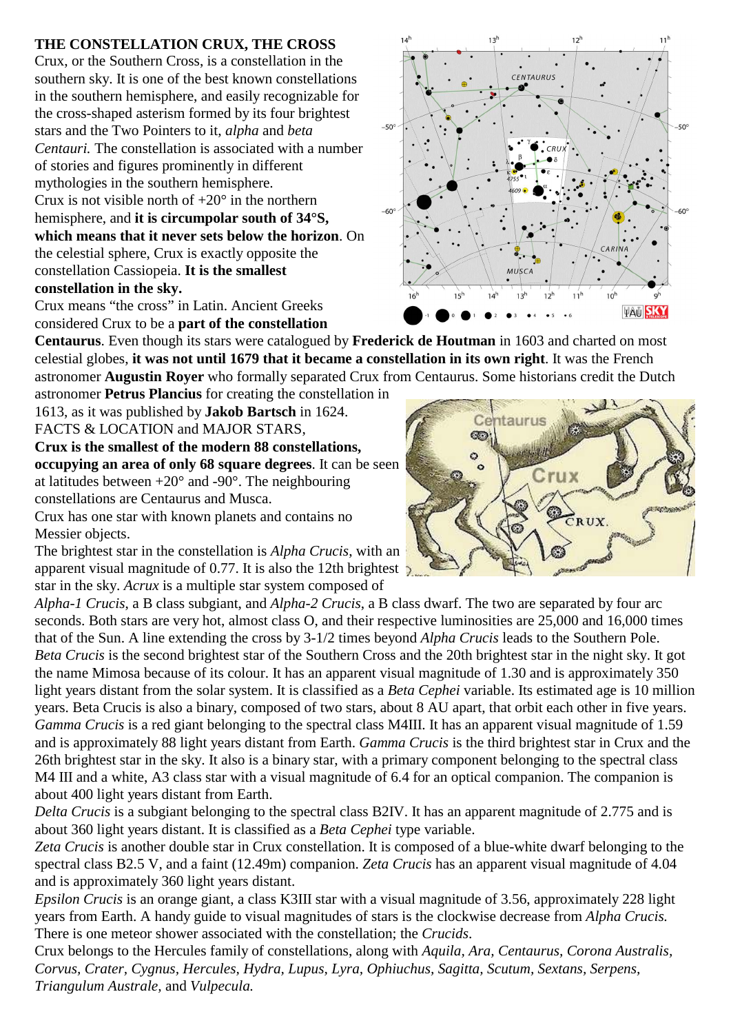## **THE CONSTELLATION CRUX, THE CROSS**

Crux, or the Southern Cross, is a constellation in the southern sky. It is one of the best known constellations in the southern hemisphere, and easily recognizable for the cross-shaped asterism formed by its four brightest stars and the Two Pointers to it, *alpha* and *beta Centauri.* The constellation is associated with a number of stories and figures prominently in different mythologies in the southern hemisphere. Crux is not visible north of  $+20^\circ$  in the northern hemisphere, and **it is circumpolar south of 34°S, which means that it never sets below the horizon**. On the celestial sphere, Crux is exactly opposite the constellation Cassiopeia. **It is the smallest constellation in the sky.**

Crux means "the cross" in Latin. Ancient Greeks considered Crux to be a **part of the constellation**

**Centaurus**. Even though its stars were catalogued by **Frederick de Houtman** in 1603 and charted on most celestial globes, **it was not until 1679 that it became a constellation in its own right**. It was the French astronomer **Augustin Royer** who formally separated Crux from Centaurus. Some historians credit the Dutch

astronomer **Petrus Plancius** for creating the constellation in 1613, as it was published by **Jakob Bartsch** in 1624. FACTS & LOCATION and MAJOR STARS,

**Crux is the smallest of the modern 88 constellations, occupying an area of only 68 square degrees**. It can be seen at latitudes between  $+20^{\circ}$  and  $-90^{\circ}$ . The neighbouring constellations are Centaurus and Musca.

Crux has one star with known planets and contains no Messier objects.

The brightest star in the constellation is *Alpha Crucis*, with an apparent visual magnitude of 0.77. It is also the 12th brightest  $\sum_{n=1}^{\infty}$ star in the sky. *Acrux* is a multiple star system composed of

*Alpha-1 Crucis*, a B class subgiant, and *Alpha-2 Crucis*, a B class dwarf. The two are separated by four arc seconds. Both stars are very hot, almost class O, and their respective luminosities are 25,000 and 16,000 times that of the Sun. A line extending the cross by 3-1/2 times beyond *Alpha Crucis* leads to the Southern Pole. *Beta Crucis* is the second brightest star of the Southern Cross and the 20th brightest star in the night sky. It got the name Mimosa because of its colour. It has an apparent visual magnitude of 1.30 and is approximately 350 light years distant from the solar system. It is classified as a *Beta Cephei* variable. Its estimated age is 10 million years. Beta Crucis is also a binary, composed of two stars, about 8 AU apart, that orbit each other in five years. *Gamma Crucis* is a red giant belonging to the spectral class M4III. It has an apparent visual magnitude of 1.59 and is approximately 88 light years distant from Earth. *Gamma Crucis* is the third brightest star in Crux and the 26th brightest star in the sky. It also is a binary star, with a primary component belonging to the spectral class M4 III and a white, A3 class star with a visual magnitude of 6.4 for an optical companion. The companion is about 400 light years distant from Earth.

*Delta Crucis* is a subgiant belonging to the spectral class B2IV. It has an apparent magnitude of 2.775 and is about 360 light years distant. It is classified as a *Beta Cephei* type variable.

*Zeta Crucis* is another double star in Crux constellation. It is composed of a blue-white dwarf belonging to the spectral class B2.5 V, and a faint (12.49m) companion. *Zeta Crucis* has an apparent visual magnitude of 4.04 and is approximately 360 light years distant.

*Epsilon Crucis* is an orange giant, a class K3III star with a visual magnitude of 3.56, approximately 228 light years from Earth. A handy guide to visual magnitudes of stars is the clockwise decrease from *Alpha Crucis.*  There is one meteor shower associated with the constellation; the *Crucids*.

Crux belongs to the Hercules family of constellations, along with *Aquila, Ara, Centaurus, Corona Australis, Corvus, Crater, Cygnus, Hercules, Hydra, Lupus, Lyra, Ophiuchus, Sagitta, Scutum, Sextans, Serpens, Triangulum Australe,* and *Vulpecula.*